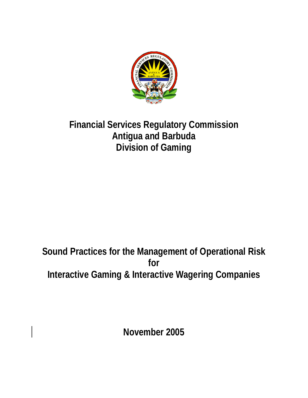

# **Financial Services Regulatory Commission Antigua and Barbuda Division of Gaming**

# **Sound Practices for the Management of Operational Risk for Interactive Gaming & Interactive Wagering Companies**

**November 2005**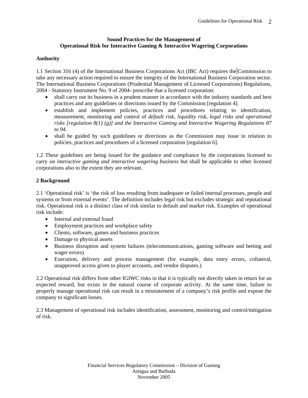### **Sound Practices for the Management of Operational Risk for Interactive Gaming & Interactive Wagering Corporations**

# **Authority**

1.1 Section 316 (4) of the International Business Corporations Act (IBC Act) requires the Commission to take any necessary action required to ensure the integrity of the International Business Corporation sector. The International Business Corporations (Prudential Management of Licensed Corporations) Regulations, 2004 - Statutory Instrument No. 9 of 2004- prescribe that a licensed corporation:

- shall carry out its business in a prudent manner in accordance with the industry standards and best practices and any guidelines or directions issued by the Commission [regulation 4].
- establish and implement policies, practices and procedures relating to identification, measurement, monitoring and control of *default risk, liquidity risk, legal risks and operational risks [regulation 8(1) (g)] and the Interactive Gaming and Interactive Wagering Regulations 87 to 94.*
- shall be guided by such guidelines or directions as the Commission may issue in relation to policies, practices and procedures of a licensed corporation [regulation 6].

1.2 These guidelines are being issued for the guidance and compliance by the corporations licensed to carry on *interactive gaming and interactive wagering business* but shall be applicable to other licensed corporations also to the extent they are relevant.

# **2 Background**

2.1 'Operational risk' is 'the risk of loss resulting from inadequate or failed internal processes, people and systems or from external events'. The definition includes legal risk but excludes strategic and reputational risk. Operational risk is a distinct class of risk similar to default and market risk. Examples of operational risk include:

- Internal and external fraud
- Employment practices and workplace safety
- Clients, software, games and business practices
- Damage to physical assets
- Business disruption and system failures (telecommunications, gaming software and betting and wager errors)
- Execution, delivery and process management (for example, data entry errors, collateral, unapproved access given to player accounts, and vendor disputes.)

2.2 Operational risk differs from other IGIWC risks in that it is typically not directly taken in return for an expected reward, but exists in the natural course of corporate activity. At the same time, failure to properly manage operational risk can result in a misstatement of a company's risk profile and expose the company to significant losses.

2.3 Management of operational risk includes identification, assessment, monitoring and control/mitigation of risk.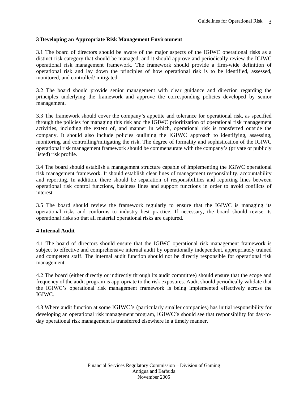# **3 Developing an Appropriate Risk Management Environment**

3.1 The board of directors should be aware of the major aspects of the IGIWC operational risks as a distinct risk category that should be managed, and it should approve and periodically review the IGIWC operational risk management framework. The framework should provide a firm-wide definition of operational risk and lay down the principles of how operational risk is to be identified, assessed, monitored, and controlled/ mitigated.

3.2 The board should provide senior management with clear guidance and direction regarding the principles underlying the framework and approve the corresponding policies developed by senior management.

3.3 The framework should cover the company's appetite and tolerance for operational risk, as specified through the policies for managing this risk and the IGIWC prioritization of operational risk management activities, including the extent of, and manner in which, operational risk is transferred outside the company. It should also include policies outlining the IGIWC approach to identifying, assessing, monitoring and controlling/mitigating the risk. The degree of formality and sophistication of the IGIWC operational risk management framework should be commensurate with the company's (private or publicly listed) risk profile.

3.4 The board should establish a management structure capable of implementing the IGIWC operational risk management framework. It should establish clear lines of management responsibility, accountability and reporting. In addition, there should be separation of responsibilities and reporting lines between operational risk control functions, business lines and support functions in order to avoid conflicts of interest.

3.5 The board should review the framework regularly to ensure that the IGIWC is managing its operational risks and conforms to industry best practice. If necessary, the board should revise its operational risks so that all material operational risks are captured.

## **4 Internal Audit**

4.1 The board of directors should ensure that the IGIWC operational risk management framework is subject to effective and comprehensive internal audit by operationally independent, appropriately trained and competent staff. The internal audit function should not be directly responsible for operational risk management.

4.2 The board (either directly or indirectly through its audit committee) should ensure that the scope and frequency of the audit program is appropriate to the risk exposures. Audit should periodically validate that the IGIWC's operational risk management framework is being implemented effectively across the IGIWC.

4.3 Where audit function at some IGIWC's (particularly smaller companies) has initial responsibility for developing an operational risk management program, IGIWC's should see that responsibility for day-today operational risk management is transferred elsewhere in a timely manner.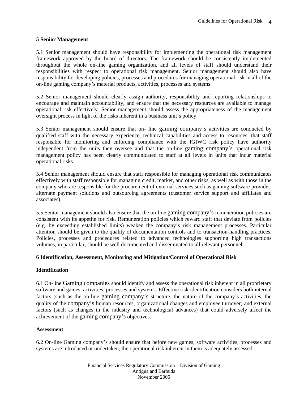#### **5 Senior Management**

5.1 Senior management should have responsibility for implementing the operational risk management framework approved by the board of directors. The framework should be consistently implemented throughout the whole on-line gaming organization, and all levels of staff should understand their responsibilities with respect to operational risk management. Senior management should also have responsibility for developing policies, processes and procedures for managing operational risk in all of the on-line gaming company's material products, activities, processes and systems.

5.2 Senior management should clearly assign authority, responsibility and reporting relationships to encourage and maintain accountability, and ensure that the necessary resources are available to manage operational risk effectively. Senior management should assess the appropriateness of the management oversight process in light of the risks inherent in a business unit's policy.

5.3 Senior management should ensure that on- line gaming company's activities are conducted by qualified staff with the necessary experience, technical capabilities and access to resources, that staff responsible for monitoring and enforcing compliance with the IGIWC risk policy have authority independent from the units they oversee and that the on-line gaming company's operational risk management policy has been clearly communicated to staff at all levels in units that incur material operational risks.

5.4 Senior management should ensure that staff responsible for managing operational risk communicates effectively with staff responsible for managing credit, market, and other risks, as well as with those in the company who are responsible for the procurement of external services such as gaming software provider, alternate payment solutions and outsourcing agreements (customer service support and affiliates and associates).

5.5 Senior management should also ensure that the on-line gaming company's remuneration policies are consistent with its appetite for risk. Remuneration policies which reward staff that deviate from policies (e.g. by exceeding established limits) weaken the company's risk management processes. Particular attention should be given to the quality of documentation controls and to transaction-handling practices. Policies, processes and procedures related to advanced technologies supporting high transactions volumes, in particular, should be well documented and disseminated to all relevant personnel.

## **6 Identification, Assessment, Monitoring and Mitigation/Control of Operational Risk**

#### **Identification**

6.1 On-line Gaming companies should identify and assess the operational risk inherent in all proprietary software and games, activities, processes and systems. Effective risk identification considers both internal factors (such as the on-line gaming company's structure, the nature of the company's activities, the quality of the company's human resources, organizational changes and employee turnover) and external factors (such as changes in the industry and technological advances) that could adversely affect the achievement of the gaming company's objectives.

#### **Assessment**

6.2 On-line Gaming company's should ensure that before new games, software activities, processes and systems are introduced or undertaken, the operational risk inherent in them is adequately assessed.

> Financial Services Regulatory Commission – Division of Gaming Antigua and Barbuda November 2005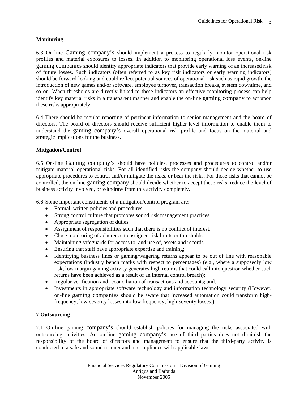# **Monitoring**

6.3 On-line Gaming company's should implement a process to regularly monitor operational risk profiles and material exposures to losses. In addition to monitoring operational loss events, on-line gaming companies should identify appropriate indicators that provide early warning of an increased risk of future losses. Such indicators (often referred to as key risk indicators or early warning indicators) should be forward-looking and could reflect potential sources of operational risk such as rapid growth, the introduction of new games and/or software, employee turnover, transaction breaks, system downtime, and so on. When thresholds are directly linked to these indicators an effective monitoring process can help identify key material risks in a transparent manner and enable the on-line gaming company to act upon these risks appropriately.

6.4 There should be regular reporting of pertinent information to senior management and the board of directors. The board of directors should receive sufficient higher-level information to enable them to understand the gaming company's overall operational risk profile and focus on the material and strategic implications for the business.

# **Mitigation/Control**

6.5 On-line Gaming company's should have policies, processes and procedures to control and/or mitigate material operational risks. For all identified risks the company should decide whether to use appropriate procedures to control and/or mitigate the risks, or bear the risks. For those risks that cannot be controlled, the on-line gaming company should decide whether to accept these risks, reduce the level of business activity involved, or withdraw from this activity completely.

6.6 Some important constituents of a mitigation/control program are:

- Formal, written policies and procedures
- Strong control culture that promotes sound risk management practices
- Appropriate segregation of duties
- Assignment of responsibilities such that there is no conflict of interest.
- Close monitoring of adherence to assigned risk limits or thresholds
- Maintaining safeguards for access to, and use of, assets and records
- Ensuring that staff have appropriate expertise and training;
- Identifying business lines or gaming/wagering returns appear to be out of line with reasonable expectations (industry bench marks with respect to percentages) (e.g., where a supposedly low risk, low margin gaming activity generates high returns that could call into question whether such returns have been achieved as a result of an internal control breach);
- Regular verification and reconciliation of transactions and accounts; and.
- Investments in appropriate software technology and information technology security (However, on-line gaming companies should be aware that increased automation could transform highfrequency, low-severity losses into low frequency, high-severity losses.)

## **7 Outsourcing**

7.1 On-line gaming company's should establish policies for managing the risks associated with outsourcing activities. An on-line gaming company's use of third parties does not diminish the responsibility of the board of directors and management to ensure that the third-party activity is conducted in a safe and sound manner and in compliance with applicable laws.